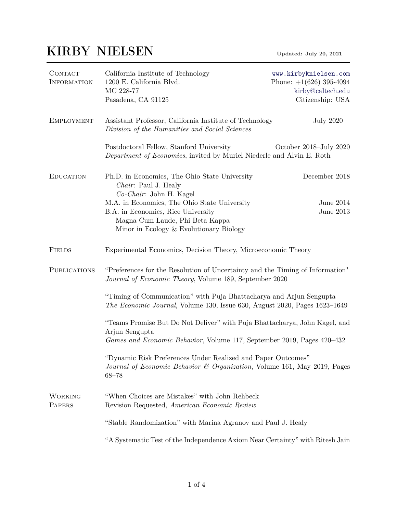## KIRBY NIELSEN Updated: July 20, 2021

| CONTACT<br><b>INFORMATION</b> | California Institute of Technology<br>1200 E. California Blvd.<br>MC 228-77<br>Pasadena, CA 91125                                                                      | www.kirbyknielsen.com<br>Phone: $+1(626)$ 395-4094<br>kirby@caltech.edu<br>Citizenship: USA |  |  |
|-------------------------------|------------------------------------------------------------------------------------------------------------------------------------------------------------------------|---------------------------------------------------------------------------------------------|--|--|
| <b>EMPLOYMENT</b>             | Assistant Professor, California Institute of Technology<br>Division of the Humanities and Social Sciences                                                              | July $2020-$                                                                                |  |  |
|                               | Postdoctoral Fellow, Stanford University<br>October 2018–July 2020<br>Department of Economics, invited by Muriel Niederle and Alvin E. Roth                            |                                                                                             |  |  |
| <b>EDUCATION</b>              | Ph.D. in Economics, The Ohio State University<br>Chair: Paul J. Healy                                                                                                  | December 2018                                                                               |  |  |
|                               | Co-Chair: John H. Kagel                                                                                                                                                |                                                                                             |  |  |
|                               | M.A. in Economics, The Ohio State University                                                                                                                           | June $2014$                                                                                 |  |  |
|                               | B.A. in Economics, Rice University                                                                                                                                     | June 2013                                                                                   |  |  |
|                               | Magna Cum Laude, Phi Beta Kappa                                                                                                                                        |                                                                                             |  |  |
|                               | Minor in Ecology & Evolutionary Biology                                                                                                                                |                                                                                             |  |  |
| <b>FIELDS</b>                 | Experimental Economics, Decision Theory, Microeconomic Theory                                                                                                          |                                                                                             |  |  |
| <b>PUBLICATIONS</b>           | "Preferences for the Resolution of Uncertainty and the Timing of Information"<br>Journal of Economic Theory, Volume 189, September 2020                                |                                                                                             |  |  |
|                               | "Timing of Communication" with Puja Bhattacharya and Arjun Sengupta<br>The Economic Journal, Volume 130, Issue 630, August 2020, Pages 1623-1649                       |                                                                                             |  |  |
|                               | "Teams Promise But Do Not Deliver" with Puja Bhattacharya, John Kagel, and<br>Arjun Sengupta<br>Games and Economic Behavior, Volume 117, September 2019, Pages 420–432 |                                                                                             |  |  |
|                               |                                                                                                                                                                        |                                                                                             |  |  |
|                               | "Dynamic Risk Preferences Under Realized and Paper Outcomes"<br>Journal of Economic Behavior & Organization, Volume 161, May 2019, Pages<br>$68 - 78$                  |                                                                                             |  |  |
| <b>WORKING</b><br>PAPERS      | "When Choices are Mistakes" with John Rehbeck<br>Revision Requested, American Economic Review                                                                          |                                                                                             |  |  |
|                               | "Stable Randomization" with Marina Agranov and Paul J. Healy                                                                                                           |                                                                                             |  |  |
|                               | "A Systematic Test of the Independence Axiom Near Certainty" with Ritesh Jain                                                                                          |                                                                                             |  |  |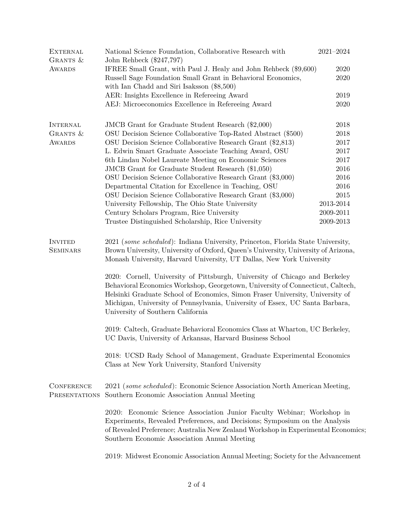| <b>EXTERNAL</b><br>GRANTS &                                                       | National Science Foundation, Collaborative Research with<br>John Rehbeck (\$247,797)                                                                                                                                                                                                                                                                                                                                                                                                                                               | $2021 - 2024$ |  |
|-----------------------------------------------------------------------------------|------------------------------------------------------------------------------------------------------------------------------------------------------------------------------------------------------------------------------------------------------------------------------------------------------------------------------------------------------------------------------------------------------------------------------------------------------------------------------------------------------------------------------------|---------------|--|
| IFREE Small Grant, with Paul J. Healy and John Rehbeck (\$9,600)<br><b>AWARDS</b> |                                                                                                                                                                                                                                                                                                                                                                                                                                                                                                                                    | 2020          |  |
|                                                                                   | Russell Sage Foundation Small Grant in Behavioral Economics,<br>with Ian Chadd and Siri Isaksson (\$8,500)                                                                                                                                                                                                                                                                                                                                                                                                                         |               |  |
|                                                                                   | AER: Insights Excellence in Refereeing Award                                                                                                                                                                                                                                                                                                                                                                                                                                                                                       | 2019          |  |
|                                                                                   | AEJ: Microeconomics Excellence in Refereeing Award                                                                                                                                                                                                                                                                                                                                                                                                                                                                                 | 2020          |  |
| <b>INTERNAL</b>                                                                   | JMCB Grant for Graduate Student Research (\$2,000)                                                                                                                                                                                                                                                                                                                                                                                                                                                                                 | 2018          |  |
| GRANTS &                                                                          | OSU Decision Science Collaborative Top-Rated Abstract (\$500)                                                                                                                                                                                                                                                                                                                                                                                                                                                                      | 2018          |  |
| <b>AWARDS</b>                                                                     | OSU Decision Science Collaborative Research Grant (\$2,813)                                                                                                                                                                                                                                                                                                                                                                                                                                                                        | 2017          |  |
|                                                                                   | L. Edwin Smart Graduate Associate Teaching Award, OSU                                                                                                                                                                                                                                                                                                                                                                                                                                                                              | 2017          |  |
|                                                                                   | 6th Lindau Nobel Laureate Meeting on Economic Sciences                                                                                                                                                                                                                                                                                                                                                                                                                                                                             | 2017          |  |
|                                                                                   | JMCB Grant for Graduate Student Research (\$1,050)                                                                                                                                                                                                                                                                                                                                                                                                                                                                                 | 2016          |  |
|                                                                                   | OSU Decision Science Collaborative Research Grant (\$3,000)                                                                                                                                                                                                                                                                                                                                                                                                                                                                        | 2016          |  |
|                                                                                   | Departmental Citation for Excellence in Teaching, OSU                                                                                                                                                                                                                                                                                                                                                                                                                                                                              | 2016          |  |
|                                                                                   | OSU Decision Science Collaborative Research Grant (\$3,000)                                                                                                                                                                                                                                                                                                                                                                                                                                                                        | 2015          |  |
|                                                                                   | University Fellowship, The Ohio State University                                                                                                                                                                                                                                                                                                                                                                                                                                                                                   | 2013-2014     |  |
|                                                                                   | Century Scholars Program, Rice University                                                                                                                                                                                                                                                                                                                                                                                                                                                                                          | 2009-2011     |  |
|                                                                                   | Trustee Distinguished Scholarship, Rice University                                                                                                                                                                                                                                                                                                                                                                                                                                                                                 | 2009-2013     |  |
| <b>SEMINARS</b>                                                                   | Brown University, University of Oxford, Queen's University, University of Arizona,<br>Monash University, Harvard University, UT Dallas, New York University<br>2020: Cornell, University of Pittsburgh, University of Chicago and Berkeley<br>Behavioral Economics Workshop, Georgetown, University of Connecticut, Caltech,<br>Helsinki Graduate School of Economics, Simon Fraser University, University of<br>Michigan, University of Pennsylvania, University of Essex, UC Santa Barbara,<br>University of Southern California |               |  |
|                                                                                   | 2019: Caltech, Graduate Behavioral Economics Class at Wharton, UC Berkeley,<br>UC Davis, University of Arkansas, Harvard Business School                                                                                                                                                                                                                                                                                                                                                                                           |               |  |
|                                                                                   | 2018: UCSD Rady School of Management, Graduate Experimental Economics<br>Class at New York University, Stanford University                                                                                                                                                                                                                                                                                                                                                                                                         |               |  |
| <b>CONFERENCE</b><br>PRESENTATIONS                                                | 2021 (some scheduled): Economic Science Association North American Meeting,<br>Southern Economic Association Annual Meeting                                                                                                                                                                                                                                                                                                                                                                                                        |               |  |
|                                                                                   | 2020: Economic Science Association Junior Faculty Webinar; Workshop in<br>Experiments, Revealed Preferences, and Decisions; Symposium on the Analysis<br>of Revealed Preference; Australia New Zealand Workshop in Experimental Economics;<br>Southern Economic Association Annual Meeting                                                                                                                                                                                                                                         |               |  |
|                                                                                   | 2019: Midwest Economic Association Annual Meeting; Society for the Advancement                                                                                                                                                                                                                                                                                                                                                                                                                                                     |               |  |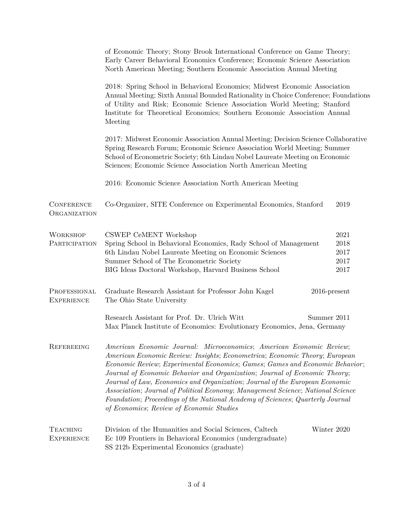|                                      | of Economic Theory; Stony Brook International Conference on Game Theory;<br>Early Career Behavioral Economics Conference; Economic Science Association<br>North American Meeting; Southern Economic Association Annual Meeting                                                                                                                                                                                                                                                                                                                                                                                     |                                      |  |
|--------------------------------------|--------------------------------------------------------------------------------------------------------------------------------------------------------------------------------------------------------------------------------------------------------------------------------------------------------------------------------------------------------------------------------------------------------------------------------------------------------------------------------------------------------------------------------------------------------------------------------------------------------------------|--------------------------------------|--|
|                                      | 2018: Spring School in Behavioral Economics; Midwest Economic Association<br>Annual Meeting; Sixth Annual Bounded Rationality in Choice Conference; Foundations<br>of Utility and Risk; Economic Science Association World Meeting; Stanford<br>Institute for Theoretical Economics; Southern Economic Association Annual<br>Meeting                                                                                                                                                                                                                                                                               |                                      |  |
|                                      | 2017: Midwest Economic Association Annual Meeting; Decision Science Collaborative<br>Spring Research Forum; Economic Science Association World Meeting; Summer<br>School of Econometric Society; 6th Lindau Nobel Laureate Meeting on Economic<br>Sciences; Economic Science Association North American Meeting                                                                                                                                                                                                                                                                                                    |                                      |  |
|                                      | 2016: Economic Science Association North American Meeting                                                                                                                                                                                                                                                                                                                                                                                                                                                                                                                                                          |                                      |  |
| <b>CONFERENCE</b><br>ORGANIZATION    | Co-Organizer, SITE Conference on Experimental Economics, Stanford                                                                                                                                                                                                                                                                                                                                                                                                                                                                                                                                                  | 2019                                 |  |
| <b>WORKSHOP</b><br>PARTICIPATION     | CSWEP CeMENT Workshop<br>Spring School in Behavioral Economics, Rady School of Management<br>6th Lindau Nobel Laureate Meeting on Economic Sciences<br>Summer School of The Econometric Society<br>BIG Ideas Doctoral Workshop, Harvard Business School                                                                                                                                                                                                                                                                                                                                                            | 2021<br>2018<br>2017<br>2017<br>2017 |  |
| PROFESSIONAL<br><b>EXPERIENCE</b>    | Graduate Research Assistant for Professor John Kagel<br>$2016$ -present<br>The Ohio State University                                                                                                                                                                                                                                                                                                                                                                                                                                                                                                               |                                      |  |
|                                      | Research Assistant for Prof. Dr. Ulrich Witt<br>Summer 2011<br>Max Planck Institute of Economics: Evolutionary Economics, Jena, Germany                                                                                                                                                                                                                                                                                                                                                                                                                                                                            |                                      |  |
| REFEREEING                           | American Economic Journal: Microeconomics; American Economic Review;<br>American Economic Review: Insights; Econometrica; Economic Theory; European<br>Economic Review; Experimental Economics; Games; Games and Economic Behavior;<br>Journal of Economic Behavior and Organization; Journal of Economic Theory;<br>Journal of Law, Economics and Organization; Journal of the European Economic<br>Association; Journal of Political Economy; Management Science; National Science<br>Foundation; Proceedings of the National Academy of Sciences; Quarterly Journal<br>of Economics; Review of Economic Studies |                                      |  |
| <b>TEACHING</b><br><b>EXPERIENCE</b> | Division of the Humanities and Social Sciences, Caltech<br>Ec 109 Frontiers in Behavioral Economics (undergraduate)<br>SS 212b Experimental Economics (graduate)                                                                                                                                                                                                                                                                                                                                                                                                                                                   | Winter 2020                          |  |